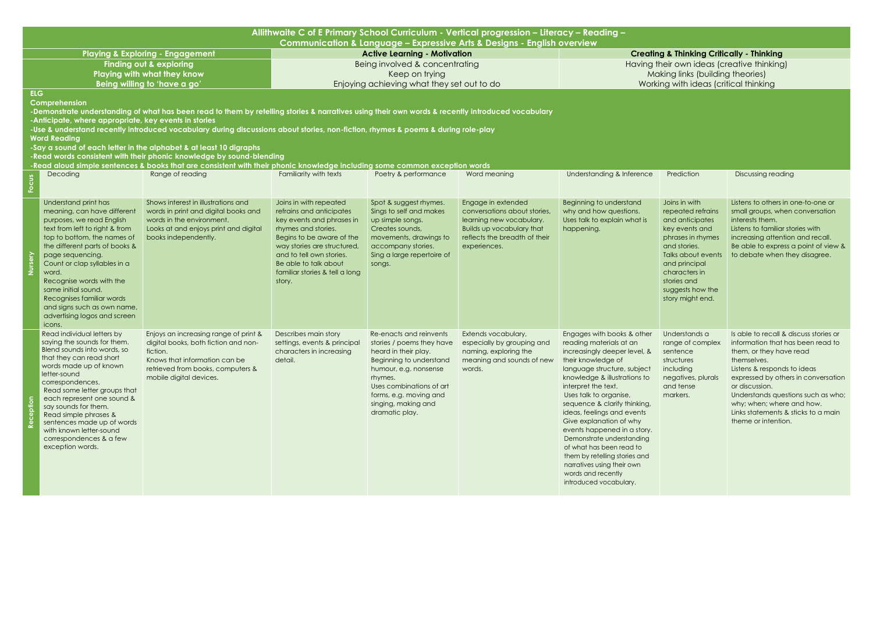| Allithwaite C of E Primary School Curriculum - Vertical progression - Literacy - Reading - |                                                                                                                                                                                                                                                                                                                                                                                                           |                                                                                                                                                                                                                                                                                                                                                                                                                                                                                                                                                                                        |                                                                                                                                                                                                                                                                     |                                                                                                                                                                                                                                            |                                                                                                                                                                     |                                                                                                                                                                                                                                                                                                                                                                                                                                                                                                                             |                                                                                                                                                                                                                             |                                                                                                                                                                                                                                                                                                                                                |  |
|--------------------------------------------------------------------------------------------|-----------------------------------------------------------------------------------------------------------------------------------------------------------------------------------------------------------------------------------------------------------------------------------------------------------------------------------------------------------------------------------------------------------|----------------------------------------------------------------------------------------------------------------------------------------------------------------------------------------------------------------------------------------------------------------------------------------------------------------------------------------------------------------------------------------------------------------------------------------------------------------------------------------------------------------------------------------------------------------------------------------|---------------------------------------------------------------------------------------------------------------------------------------------------------------------------------------------------------------------------------------------------------------------|--------------------------------------------------------------------------------------------------------------------------------------------------------------------------------------------------------------------------------------------|---------------------------------------------------------------------------------------------------------------------------------------------------------------------|-----------------------------------------------------------------------------------------------------------------------------------------------------------------------------------------------------------------------------------------------------------------------------------------------------------------------------------------------------------------------------------------------------------------------------------------------------------------------------------------------------------------------------|-----------------------------------------------------------------------------------------------------------------------------------------------------------------------------------------------------------------------------|------------------------------------------------------------------------------------------------------------------------------------------------------------------------------------------------------------------------------------------------------------------------------------------------------------------------------------------------|--|
|                                                                                            |                                                                                                                                                                                                                                                                                                                                                                                                           |                                                                                                                                                                                                                                                                                                                                                                                                                                                                                                                                                                                        |                                                                                                                                                                                                                                                                     |                                                                                                                                                                                                                                            | Communication & Language - Expressive Arts & Designs - English overview                                                                                             |                                                                                                                                                                                                                                                                                                                                                                                                                                                                                                                             |                                                                                                                                                                                                                             |                                                                                                                                                                                                                                                                                                                                                |  |
|                                                                                            |                                                                                                                                                                                                                                                                                                                                                                                                           | <b>Playing &amp; Exploring - Engagement</b>                                                                                                                                                                                                                                                                                                                                                                                                                                                                                                                                            |                                                                                                                                                                                                                                                                     | <b>Active Learning - Motivation</b>                                                                                                                                                                                                        |                                                                                                                                                                     |                                                                                                                                                                                                                                                                                                                                                                                                                                                                                                                             | <b>Creating &amp; Thinking Critically - Thinking</b>                                                                                                                                                                        |                                                                                                                                                                                                                                                                                                                                                |  |
|                                                                                            |                                                                                                                                                                                                                                                                                                                                                                                                           | <b>Finding out &amp; exploring</b>                                                                                                                                                                                                                                                                                                                                                                                                                                                                                                                                                     |                                                                                                                                                                                                                                                                     | Being involved & concentrating                                                                                                                                                                                                             |                                                                                                                                                                     |                                                                                                                                                                                                                                                                                                                                                                                                                                                                                                                             | Having their own ideas (creative thinking)                                                                                                                                                                                  |                                                                                                                                                                                                                                                                                                                                                |  |
| <b>Playing with what they know</b>                                                         |                                                                                                                                                                                                                                                                                                                                                                                                           |                                                                                                                                                                                                                                                                                                                                                                                                                                                                                                                                                                                        | Keep on trying                                                                                                                                                                                                                                                      |                                                                                                                                                                                                                                            | Making links (building theories)                                                                                                                                    |                                                                                                                                                                                                                                                                                                                                                                                                                                                                                                                             |                                                                                                                                                                                                                             |                                                                                                                                                                                                                                                                                                                                                |  |
| <b>ELG</b>                                                                                 |                                                                                                                                                                                                                                                                                                                                                                                                           | Being willing to 'have a go'                                                                                                                                                                                                                                                                                                                                                                                                                                                                                                                                                           | Enjoying achieving what they set out to do                                                                                                                                                                                                                          |                                                                                                                                                                                                                                            |                                                                                                                                                                     | Working with ideas (critical thinking                                                                                                                                                                                                                                                                                                                                                                                                                                                                                       |                                                                                                                                                                                                                             |                                                                                                                                                                                                                                                                                                                                                |  |
|                                                                                            | Comprehension<br>-Anticipate, where appropriate, key events in stories<br><b>Word Reading</b><br>Decoding                                                                                                                                                                                                                                                                                                 | -Demonstrate understanding of what has been read to them by retelling stories & narratives using their own words & recently introduced vocabulary<br>-Use & understand recently introduced vocabulary during discussions about stories, non-fiction, rhymes & poems & during role-play<br>-Say a sound of each letter in the alphabet & at least 10 digraphs<br>-Read words consistent with their phonic knowledge by sound-blending<br>-Read aloud simple sentences & books that are consistent with their phonic knowledge including some common exception words<br>Range of reading | Familiarity with texts                                                                                                                                                                                                                                              | Poetry & performance                                                                                                                                                                                                                       | Word meaning                                                                                                                                                        | <b>Understanding &amp; Inference</b>                                                                                                                                                                                                                                                                                                                                                                                                                                                                                        | Prediction                                                                                                                                                                                                                  | <b>Discussing reading</b>                                                                                                                                                                                                                                                                                                                      |  |
|                                                                                            |                                                                                                                                                                                                                                                                                                                                                                                                           |                                                                                                                                                                                                                                                                                                                                                                                                                                                                                                                                                                                        |                                                                                                                                                                                                                                                                     |                                                                                                                                                                                                                                            |                                                                                                                                                                     |                                                                                                                                                                                                                                                                                                                                                                                                                                                                                                                             |                                                                                                                                                                                                                             |                                                                                                                                                                                                                                                                                                                                                |  |
|                                                                                            | Understand print has<br>meaning, can have different<br>purposes, we read English<br>text from left to right & from<br>top to bottom, the names of<br>the different parts of books &<br>page sequencing.<br>Count or clap syllables in a<br>word.<br>Recognise words with the<br>same initial sound.<br>Recognises familiar words<br>and signs such as own name,<br>advertising logos and screen<br>icons. | Shows interest in illustrations and<br>words in print and digital books and<br>words in the environment.<br>Looks at and enjoys print and digital<br>books independently.                                                                                                                                                                                                                                                                                                                                                                                                              | Joins in with repeated<br>refrains and anticipates<br>key events and phrases in<br>rhymes and stories.<br>Begins to be aware of the<br>way stories are structured,<br>and to tell own stories.<br>Be able to talk about<br>familiar stories & tell a long<br>story. | Spot & suggest rhymes.<br>Sings to self and makes<br>up simple songs.<br>Creates sounds,<br>movements, drawings to<br>accompany stories.<br>Sing a large repertoire of<br>songs.                                                           | Engage in extended<br>conversations about stories,<br>learning new vocabulary.<br><b>Builds up vocabulary that</b><br>reflects the breadth of their<br>experiences. | Beginning to understand<br>why and how questions.<br>Uses talk to explain what is<br>happening.                                                                                                                                                                                                                                                                                                                                                                                                                             | Joins in with<br>repeated refrains<br>and anticipates<br>key events and<br>phrases in rhymes<br>and stories.<br>Talks about events<br>and principal<br>characters in<br>stories and<br>suggests how the<br>story might end. | Listens to others in one-to-one or<br>small groups, when conversation<br>interests them.<br>Listens to familiar stories with<br>increasing attention and recall.<br>Be able to express a point of view &<br>to debate when they disagree.                                                                                                      |  |
|                                                                                            | Read individual letters by<br>saying the sounds for them.<br>Blend sounds into words, so<br>that they can read short<br>words made up of known<br>letter-sound<br>correspondences.<br>Read some letter groups that<br>each represent one sound &<br>say sounds for them.<br>Read simple phrases &<br>sentences made up of words<br>with known letter-sound<br>correspondences & a few<br>exception words. | Enjoys an increasing range of print &<br>digital books, both fiction and non-<br>fiction.<br>Knows that information can be<br>retrieved from books, computers &<br>mobile digital devices.                                                                                                                                                                                                                                                                                                                                                                                             | Describes main story<br>settings, events & principal<br>characters in increasing<br>detail.                                                                                                                                                                         | Re-enacts and reinvents<br>stories / poems they have<br>heard in their play.<br>Beginning to understand<br>humour, e.g. nonsense<br>rhymes.<br>Uses combinations of art<br>forms, e.g. moving and<br>singing, making and<br>dramatic play. | Extends vocabulary,<br>especially by grouping and<br>naming, exploring the<br>meaning and sounds of new<br>words.                                                   | Engages with books & other<br>reading materials at an<br>increasingly deeper level, &<br>their knowledge of<br>language structure, subject<br>knowledge & illustrations to<br>interpret the text.<br>Uses talk to organise,<br>sequence & clarify thinking,<br>ideas, feelings and events<br>Give explanation of why<br>events happened in a story.<br>Demonstrate understanding<br>of what has been read to<br>them by retelling stories and<br>narratives using their own<br>words and recently<br>introduced vocabulary. | Understands a<br>range of complex<br>sentence<br>structures<br>including<br>negatives, plurals<br>and tense<br>markers.                                                                                                     | Is able to recall & discuss stories or<br>information that has been read to<br>them, or they have read<br>themselves.<br>Listens & responds to ideas<br>expressed by others in conversation<br>or discussion.<br>Understands questions such as who;<br>why; when; where and how.<br>Links statements & sticks to a main<br>theme or intention. |  |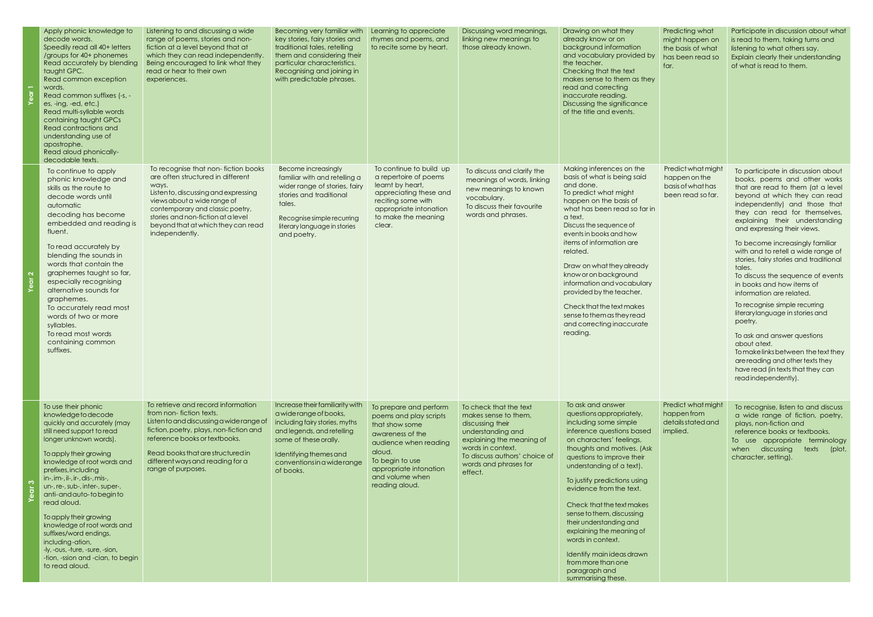|                          | Apply phonic knowledge to<br>decode words.<br>Speedily read all 40+ letters<br>/groups for 40+ phonemes<br>Read accurately by blending<br>taught GPC.<br>Read common exception<br>words.<br>Read common suffixes (-s, -<br>es, -ing, -ed, etc.)<br>Read multi-syllable words<br>containing taught GPCs<br>Read contractions and<br>understanding use of<br>apostrophe.<br>Read aloud phonically-<br>decodable texts.                                                                                                                | Listening to and discussing a wide<br>range of poems, stories and non-<br>fiction at a level beyond that at<br>which they can read independently.<br>Being encouraged to link what they<br>read or hear to their own<br>experiences.                                                       | Becoming very familiar with<br>key stories, fairy stories and<br>traditional tales, retelling<br>them and considering their<br>particular characteristics.<br>Recognising and joining in<br>with predictable phrases.   | Learning to appreciate<br>rhymes and poems, and<br>to recite some by heart.                                                                                                                                 | Discussing word meanings,<br>linking new meanings to<br>those already known.                                                                                                                                   | Drawing on what they<br>already know or on<br>background information<br>and vocabulary provided by<br>the teacher.<br>Checking that the text<br>makes sense to them as they<br>read and correcting<br>inaccurate reading.<br>Discussing the significance<br>of the title and events.                                                                                                                                                                                                                                 |
|--------------------------|-------------------------------------------------------------------------------------------------------------------------------------------------------------------------------------------------------------------------------------------------------------------------------------------------------------------------------------------------------------------------------------------------------------------------------------------------------------------------------------------------------------------------------------|--------------------------------------------------------------------------------------------------------------------------------------------------------------------------------------------------------------------------------------------------------------------------------------------|-------------------------------------------------------------------------------------------------------------------------------------------------------------------------------------------------------------------------|-------------------------------------------------------------------------------------------------------------------------------------------------------------------------------------------------------------|----------------------------------------------------------------------------------------------------------------------------------------------------------------------------------------------------------------|----------------------------------------------------------------------------------------------------------------------------------------------------------------------------------------------------------------------------------------------------------------------------------------------------------------------------------------------------------------------------------------------------------------------------------------------------------------------------------------------------------------------|
| $\mathbf{\Omega}$<br>ēar | To continue to apply<br>phonic knowledge and<br>skills as the route to<br>decode words until<br>automatic<br>decoding has become<br>embedded and reading is<br>fluent.<br>To read accurately by<br>blending the sounds in<br>words that contain the<br>graphemes taught so far,<br>especially recognising<br>alternative sounds for<br>graphemes.<br>To accurately read most<br>words of two or more<br>syllables.<br>To read most words<br>containing common<br>suffixes.                                                          | To recognise that non-fiction books<br>are often structured in different<br>ways.<br>Listen to, discussing and expressing<br>views about a wide range of<br>contemporary and classic poetry,<br>stories and non-fiction at a level<br>beyond that at which they can read<br>independently. | <b>Become increasingly</b><br>familiar with and retelling a<br>wider range of stories, fairy<br>stories and traditional<br>tales.<br>Recognise simple recurring<br>literary language in stories<br>and poetry.          | To continue to build up<br>a repertoire of poems<br>learnt by heart,<br>appreciating these and<br>reciting some with<br>appropriate intonation<br>to make the meaning<br>clear.                             | To discuss and clarify the<br>meanings of words, linking<br>new meanings to known<br>vocabulary.<br>To discuss their favourite<br>words and phrases.                                                           | Making inferences on the<br>basis of what is being said<br>and done.<br>To predict what might<br>happen on the basis of<br>what has been read so far in<br>a text.<br>Discuss the sequence of<br>events in books and how<br>items of information are<br>related.<br>Draw on what they already<br>know or on background<br>information and vocabulary<br>provided by the teacher.<br>Check that the text makes<br>sense to them as they read<br>and correcting inaccurate<br>reading.                                 |
| က                        | To use their phonic<br>knowledge to decode<br>quickly and accurately (may<br>still need support to read<br>longer unknown words).<br>To apply their growing<br>knowledge of root words and<br>prefixes, including<br>in-, im-, il-, ir-, dis-, mis-,<br>un-, re-, sub-, inter-, super-,<br>anti-and auto-tobegin to<br>read aloud.<br>To apply their growing<br>knowledge of root words and<br>suffixes/word endings,<br>including-ation,<br>-ly, -ous, -ture, -sure, -sion,<br>-tion, -ssion and -cian, to begin<br>to read aloud. | To retrieve and record information<br>from non-fiction texts.<br>Listen to and discussing a wide range of<br>fiction, poetry, plays, non-fiction and<br>reference books or textbooks.<br>Read books that are structured in<br>different ways and reading for a<br>range of purposes.       | Increase their familiarity with<br>a wide range of books,<br>including fairy stories, myths<br>and legends, and retelling<br>some of these orally.<br>Identifying themes and<br>conventions in a widerange<br>of books. | To prepare and perform<br>poems and play scripts<br>that show some<br>awareness of the<br>audience when reading<br>aloud.<br>To begin to use<br>appropriate intonation<br>and volume when<br>reading aloud. | To check that the text<br>makes sense to them.<br>discussing their<br>understanding and<br>explaining the meaning of<br>words in context.<br>To discuss authors' choice of<br>words and phrases for<br>effect. | To ask and answer<br>questions appropriately,<br>including some simple<br>inference questions based<br>on characters' feelings,<br>thoughts and motives. (Ask<br>questions to improve their<br>understanding of a text).<br>To justify predictions using<br>evidence from the text.<br>Check that the text makes<br>sense to them, discussing<br>their understanding and<br>explaining the meaning of<br>words in context.<br>Identify main ideas drawn<br>from more than one<br>paragraph and<br>summarising these. |

| Predicting what                                                               | Participate in discussion about what                                                                                                                                                                                                                                                                                                                                                                                                                                                                                                                                                                                                                                                                                                                                         |
|-------------------------------------------------------------------------------|------------------------------------------------------------------------------------------------------------------------------------------------------------------------------------------------------------------------------------------------------------------------------------------------------------------------------------------------------------------------------------------------------------------------------------------------------------------------------------------------------------------------------------------------------------------------------------------------------------------------------------------------------------------------------------------------------------------------------------------------------------------------------|
| might happen on<br>the basis of what<br>has been read so<br>far.              | is read to them, taking turns and<br>listening to what others say.<br>Explain clearly their understanding<br>of what is read to them.                                                                                                                                                                                                                                                                                                                                                                                                                                                                                                                                                                                                                                        |
| Predict what might<br>happen on the<br>basis of what has<br>been read so far. | To participate in discussion about<br>books, poems and other works<br>that are read to them (at a level<br>beyond at which they can read<br>independently) and those that<br>they can read for themselves,<br>explaining<br>their understanding<br>and expressing their views.<br>To become increasingly familiar<br>with and to retell a wide range of<br>stories, fairy stories and traditional<br>tales.<br>To discuss the sequence of events<br>in books and how items of<br>information are related.<br>To recognise simple recurring<br>literarylanguage in stories and<br>poetry.<br>To ask and answer questions<br>about atext.<br>Tomakelinks between the text they<br>are reading and other texts they<br>have read (in texts that they can<br>readindependently). |
| Predict what might<br>happen from<br>details stated and<br>implied.           | To recognise, listen to and discuss<br>a wide range of fiction, poetry,<br>plays, non-fiction and<br>reference books or textbooks.<br>appropriate terminology<br>To<br><b>use</b><br>discussing<br>texts<br>(plot,<br>when<br>character, setting).                                                                                                                                                                                                                                                                                                                                                                                                                                                                                                                           |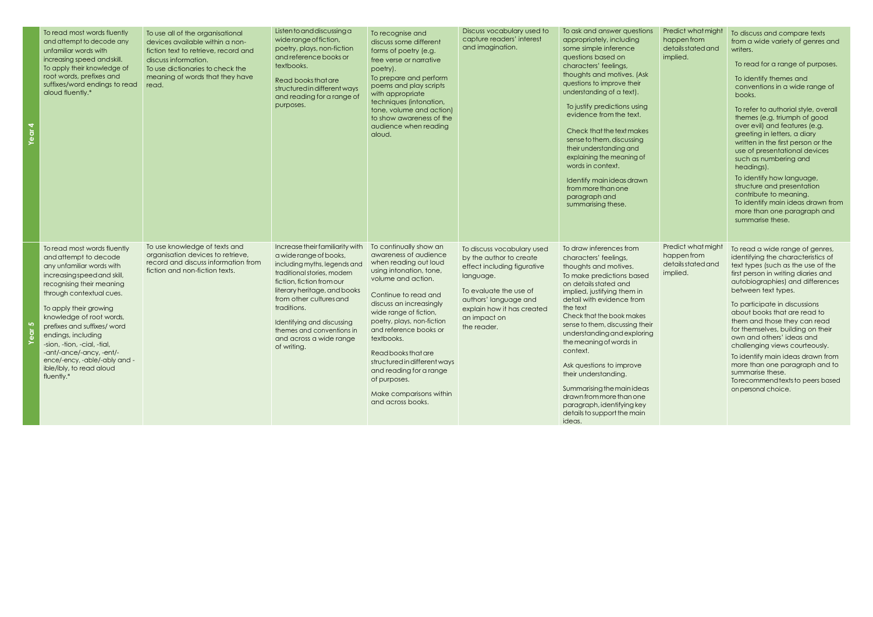| To read most words fluently<br>and attempt to decode any<br>unfamiliar words with<br>increasing speed and skill.<br>To apply their knowledge of<br>root words, prefixes and<br>suffixes/word endings to read<br>aloud fluently.*                                                                                                                                                                                           | To use all of the organisational<br>devices available within a non-<br>fiction text to retrieve, record and<br>discuss information.<br>To use dictionaries to check the<br>meaning of words that they have<br>read. | Listen to and discussing a<br>wide range of fiction,<br>poetry, plays, non-fiction<br>and reference books or<br>textbooks.<br>Read books that are<br>structured in different ways<br>and reading for a range of<br>purposes.                                                                                                         | To recognise and<br>discuss some different<br>forms of poetry (e.g.<br>free verse or narrative<br>poetry).<br>To prepare and perform<br>poems and play scripts<br>with appropriate<br>techniques (intonation,<br>tone, volume and action)<br>to show awareness of the<br>audience when reading<br>aloud.                                                                                                                       | Discuss vocabulary used to<br>capture readers' interest<br>and imagination.                                                                                                                                       | To ask and answer questions<br>appropriately, including<br>some simple inference<br>questions based on<br>characters' feelings,<br>thoughts and motives. (Ask<br>questions to improve their<br>understanding of a text).<br>To justify predictions using<br>evidence from the text.<br>Check that the text makes<br>sense to them, discussing<br>their understanding and<br>explaining the meaning of<br>words in context.<br>Identify main ideas drawn<br>from more than one<br>paragraph and<br>summarising these.               |
|----------------------------------------------------------------------------------------------------------------------------------------------------------------------------------------------------------------------------------------------------------------------------------------------------------------------------------------------------------------------------------------------------------------------------|---------------------------------------------------------------------------------------------------------------------------------------------------------------------------------------------------------------------|--------------------------------------------------------------------------------------------------------------------------------------------------------------------------------------------------------------------------------------------------------------------------------------------------------------------------------------|--------------------------------------------------------------------------------------------------------------------------------------------------------------------------------------------------------------------------------------------------------------------------------------------------------------------------------------------------------------------------------------------------------------------------------|-------------------------------------------------------------------------------------------------------------------------------------------------------------------------------------------------------------------|------------------------------------------------------------------------------------------------------------------------------------------------------------------------------------------------------------------------------------------------------------------------------------------------------------------------------------------------------------------------------------------------------------------------------------------------------------------------------------------------------------------------------------|
| To read most words fluently<br>and attempt to decode<br>any unfamiliar words with<br>increasing speed and skill,<br>recognising their meaning<br>through contextual cues.<br>To apply their growing<br>knowledge of root words,<br>prefixes and suffixes/ word<br>endings, including<br>-sion, -tion, -cial, -tial,<br>-ant/-ance/-ancy, -ent/-<br>ence/-ency, -able/-ably and -<br>ible/ibly, to read aloud<br>fluently.* | To use knowledge of texts and<br>organisation devices to retrieve,<br>record and discuss information from<br>fiction and non-fiction texts.                                                                         | Increase their familiarity with<br>a wide range of books,<br>including myths, legends and<br>traditional stories, modern<br>fiction, fiction from our<br>literary heritage, and books<br>from other cultures and<br>traditions.<br>Identifying and discussing<br>themes and conventions in<br>and across a wide range<br>of writing. | To continually show an<br>awareness of audience<br>when reading out loud<br>using intonation, tone,<br>volume and action.<br>Continue to read and<br>discuss an increasingly<br>wide range of fiction,<br>poetry, plays, non-fiction<br>and reference books or<br>textbooks.<br>Read books that are<br>structured in different ways<br>and reading for a range<br>of purposes.<br>Make comparisons within<br>and across books. | To discuss vocabulary used<br>by the author to create<br>effect including figurative<br>language.<br>To evaluate the use of<br>authors' language and<br>explain how it has created<br>an impact on<br>the reader. | To draw inferences from<br>characters' feelings,<br>thoughts and motives.<br>To make predictions based<br>on details stated and<br>implied, justifying them in<br>detail with evidence from<br>the text<br>Check that the book makes<br>sense to them, discussing their<br>understanding and exploring<br>the meaning of words in<br>context.<br>Ask questions to improve<br>their understanding.<br>Summarising the main ideas<br>drawn from more than one<br>paragraph, identifying key<br>details to support the main<br>ideas. |

| Predict what might<br>happen from<br>details stated and<br>implied. | To discuss and compare texts<br>from a wide variety of genres and<br>writers.<br>To read for a range of purposes.<br>To identify themes and<br>conventions in a wide range of<br>books.<br>To refer to authorial style, overall<br>themes (e.g. triumph of good<br>over evil) and features (e.g.<br>greeting in letters, a diary<br>written in the first person or the<br>use of presentational devices<br>such as numbering and<br>headings).<br>To identify how language,<br>structure and presentation<br>contribute to meaning.<br>To identify main ideas drawn from<br>more than one paragraph and<br>summarise these. |
|---------------------------------------------------------------------|-----------------------------------------------------------------------------------------------------------------------------------------------------------------------------------------------------------------------------------------------------------------------------------------------------------------------------------------------------------------------------------------------------------------------------------------------------------------------------------------------------------------------------------------------------------------------------------------------------------------------------|
| Predict what might<br>happen from<br>details stated and<br>implied. | To read a wide range of genres,<br>identifying the characteristics of<br>text types (such as the use of the<br>first person in writing diaries and<br>autobiographies) and differences<br>between text types.<br>To participate in discussions<br>about books that are read to<br>them and those they can read<br>for themselves, building on their<br>own and others' ideas and<br>challenging views courteously.<br>To identify main ideas drawn from<br>more than one paragraph and to<br>summarise these.<br>Torecommend texts to peers based<br>on personal choice.                                                    |